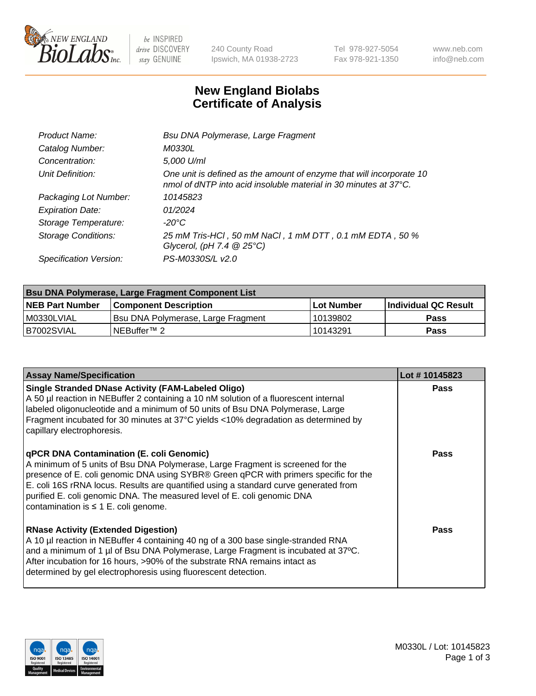

 $be$  INSPIRED drive DISCOVERY stay GENUINE

240 County Road Ipswich, MA 01938-2723 Tel 978-927-5054 Fax 978-921-1350 www.neb.com info@neb.com

## **New England Biolabs Certificate of Analysis**

| Product Name:              | Bsu DNA Polymerase, Large Fragment                                                                                                                 |
|----------------------------|----------------------------------------------------------------------------------------------------------------------------------------------------|
| Catalog Number:            | M0330L                                                                                                                                             |
| Concentration:             | 5,000 U/ml                                                                                                                                         |
| Unit Definition:           | One unit is defined as the amount of enzyme that will incorporate 10<br>nmol of dNTP into acid insoluble material in 30 minutes at $37^{\circ}$ C. |
| Packaging Lot Number:      | 10145823                                                                                                                                           |
| <b>Expiration Date:</b>    | 01/2024                                                                                                                                            |
| Storage Temperature:       | $-20^{\circ}$ C                                                                                                                                    |
| <b>Storage Conditions:</b> | 25 mM Tris-HCl , 50 mM NaCl , 1 mM DTT , 0.1 mM EDTA , 50 %<br>Glycerol, (pH 7.4 $@25°C$ )                                                         |
| Specification Version:     | PS-M0330S/L v2.0                                                                                                                                   |

| Bsu DNA Polymerase, Large Fragment Component List |                                    |                   |                      |  |  |
|---------------------------------------------------|------------------------------------|-------------------|----------------------|--|--|
| <b>NEB Part Number</b>                            | <b>Component Description</b>       | <b>Lot Number</b> | Individual QC Result |  |  |
| I M0330LVIAL                                      | Bsu DNA Polymerase, Large Fragment | 10139802          | <b>Pass</b>          |  |  |
| B7002SVIAL                                        | NEBuffer™ 2                        | 10143291          | Pass                 |  |  |

| <b>Assay Name/Specification</b>                                                                                                                                                                                                                                                                                                                                                                                                    | Lot #10145823 |
|------------------------------------------------------------------------------------------------------------------------------------------------------------------------------------------------------------------------------------------------------------------------------------------------------------------------------------------------------------------------------------------------------------------------------------|---------------|
| <b>Single Stranded DNase Activity (FAM-Labeled Oligo)</b><br>A 50 µl reaction in NEBuffer 2 containing a 10 nM solution of a fluorescent internal<br>labeled oligonucleotide and a minimum of 50 units of Bsu DNA Polymerase, Large<br>Fragment incubated for 30 minutes at 37°C yields <10% degradation as determined by<br>capillary electrophoresis.                                                                            | <b>Pass</b>   |
| qPCR DNA Contamination (E. coli Genomic)<br>A minimum of 5 units of Bsu DNA Polymerase, Large Fragment is screened for the<br>presence of E. coli genomic DNA using SYBR® Green qPCR with primers specific for the<br>E. coli 16S rRNA locus. Results are quantified using a standard curve generated from<br>purified E. coli genomic DNA. The measured level of E. coli genomic DNA<br>contamination is $\leq 1$ E. coli genome. | <b>Pass</b>   |
| <b>RNase Activity (Extended Digestion)</b><br>A 10 µl reaction in NEBuffer 4 containing 40 ng of a 300 base single-stranded RNA<br>and a minimum of 1 µl of Bsu DNA Polymerase, Large Fragment is incubated at 37°C.<br>After incubation for 16 hours, >90% of the substrate RNA remains intact as<br>determined by gel electrophoresis using fluorescent detection.                                                               | Pass          |

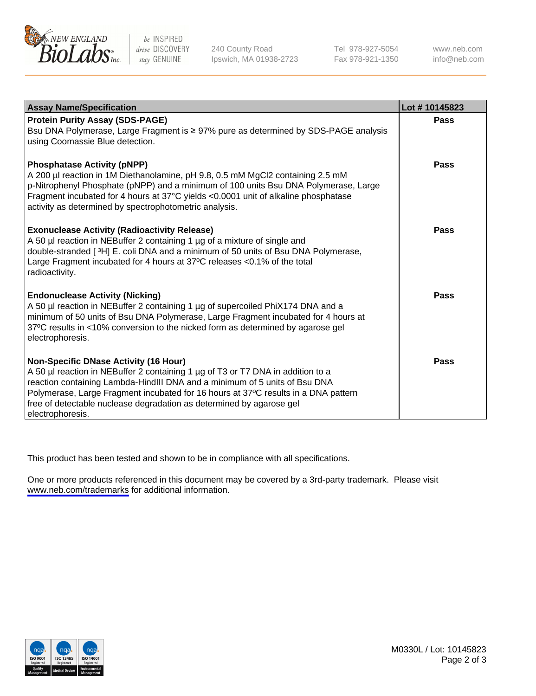

be INSPIRED drive DISCOVERY stay GENUINE

240 County Road Ipswich, MA 01938-2723 Tel 978-927-5054 Fax 978-921-1350

www.neb.com info@neb.com

| <b>Assay Name/Specification</b>                                                                                                                                                                                                                                                                                                                                                                 | Lot #10145823 |
|-------------------------------------------------------------------------------------------------------------------------------------------------------------------------------------------------------------------------------------------------------------------------------------------------------------------------------------------------------------------------------------------------|---------------|
| <b>Protein Purity Assay (SDS-PAGE)</b><br>Bsu DNA Polymerase, Large Fragment is ≥ 97% pure as determined by SDS-PAGE analysis<br>using Coomassie Blue detection.                                                                                                                                                                                                                                | <b>Pass</b>   |
| <b>Phosphatase Activity (pNPP)</b><br>A 200 µl reaction in 1M Diethanolamine, pH 9.8, 0.5 mM MgCl2 containing 2.5 mM<br>p-Nitrophenyl Phosphate (pNPP) and a minimum of 100 units Bsu DNA Polymerase, Large<br>Fragment incubated for 4 hours at 37°C yields <0.0001 unit of alkaline phosphatase<br>activity as determined by spectrophotometric analysis.                                     | Pass          |
| <b>Exonuclease Activity (Radioactivity Release)</b><br>A 50 µl reaction in NEBuffer 2 containing 1 µg of a mixture of single and<br>double-stranded [3H] E. coli DNA and a minimum of 50 units of Bsu DNA Polymerase,<br>Large Fragment incubated for 4 hours at 37°C releases <0.1% of the total<br>radioactivity.                                                                             | Pass          |
| <b>Endonuclease Activity (Nicking)</b><br>A 50 µl reaction in NEBuffer 2 containing 1 µg of supercoiled PhiX174 DNA and a<br>minimum of 50 units of Bsu DNA Polymerase, Large Fragment incubated for 4 hours at<br>37°C results in <10% conversion to the nicked form as determined by agarose gel<br>electrophoresis.                                                                          | Pass          |
| <b>Non-Specific DNase Activity (16 Hour)</b><br>A 50 µl reaction in NEBuffer 2 containing 1 µg of T3 or T7 DNA in addition to a<br>reaction containing Lambda-HindIII DNA and a minimum of 5 units of Bsu DNA<br>Polymerase, Large Fragment incubated for 16 hours at 37°C results in a DNA pattern<br>free of detectable nuclease degradation as determined by agarose gel<br>electrophoresis. | Pass          |

This product has been tested and shown to be in compliance with all specifications.

One or more products referenced in this document may be covered by a 3rd-party trademark. Please visit <www.neb.com/trademarks>for additional information.